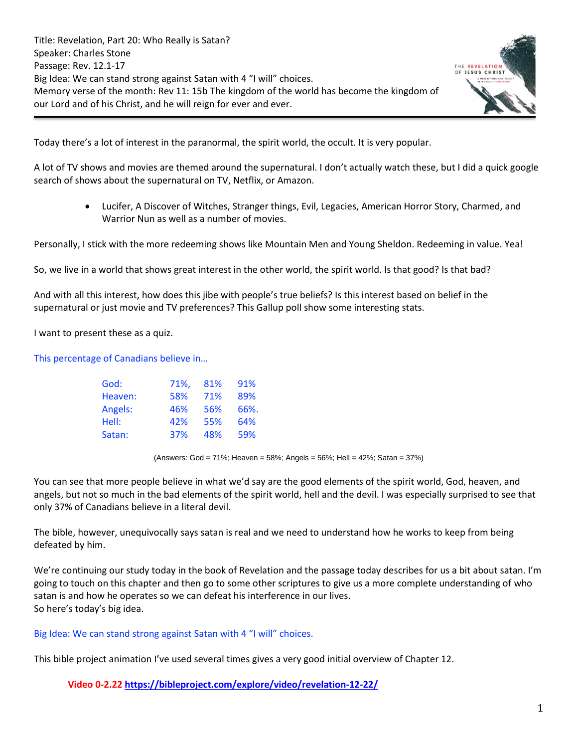Title: Revelation, Part 20: Who Really is Satan? Speaker: Charles Stone Passage: Rev. 12.1-17 Big Idea: We can stand strong against Satan with 4 "I will" choices. Memory verse of the month: Rev 11: 15b The kingdom of the world has become the kingdom of our Lord and of his Christ, and he will reign for ever and ever.



Today there's a lot of interest in the paranormal, the spirit world, the occult. It is very popular.

A lot of TV shows and movies are themed around the supernatural. I don't actually watch these, but I did a quick google search of shows about the supernatural on TV, Netflix, or Amazon.

• Lucifer, A Discover of Witches, Stranger things, Evil, Legacies, American Horror Story, Charmed, and Warrior Nun as well as a number of movies.

Personally, I stick with the more redeeming shows like Mountain Men and Young Sheldon. Redeeming in value. Yea!

So, we live in a world that shows great interest in the other world, the spirit world. Is that good? Is that bad?

And with all this interest, how does this jibe with people's true beliefs? Is this interest based on belief in the supernatural or just movie and TV preferences? This Gallup poll show some interesting stats.

I want to present these as a quiz.

This percentage of Canadians believe in…

| God:    | 71%, | 81% | 91%  |
|---------|------|-----|------|
| Heaven: | 58%  | 71% | 89%  |
| Angels: | 46%  | 56% | 66%. |
| Hell:   | 42%  | 55% | 64%  |
| Satan:  | 37%  | 48% | 59%  |

(Answers: God = 71%; Heaven = 58%; Angels = 56%; Hell = 42%; Satan = 37%)

You can see that more people believe in what we'd say are the good elements of the spirit world, God, heaven, and angels, but not so much in the bad elements of the spirit world, hell and the devil. I was especially surprised to see that only 37% of Canadians believe in a literal devil.

The bible, however, unequivocally says satan is real and we need to understand how he works to keep from being defeated by him.

We're continuing our study today in the book of Revelation and the passage today describes for us a bit about satan. I'm going to touch on this chapter and then go to some other scriptures to give us a more complete understanding of who satan is and how he operates so we can defeat his interference in our lives. So here's today's big idea.

## Big Idea: We can stand strong against Satan with 4 "I will" choices.

This bible project animation I've used several times gives a very good initial overview of Chapter 12.

**Video 0-2.22 <https://bibleproject.com/explore/video/revelation-12-22/>**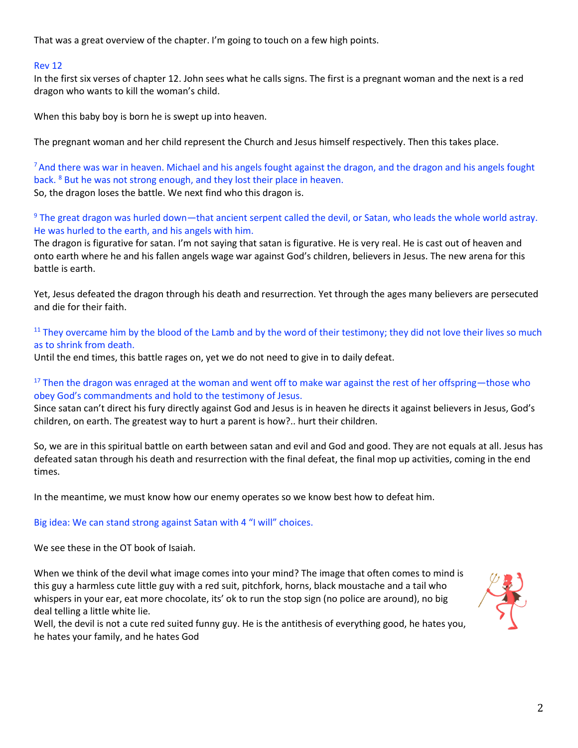That was a great overview of the chapter. I'm going to touch on a few high points.

### Rev 12

In the first six verses of chapter 12. John sees what he calls signs. The first is a pregnant woman and the next is a red dragon who wants to kill the woman's child.

When this baby boy is born he is swept up into heaven.

The pregnant woman and her child represent the Church and Jesus himself respectively. Then this takes place.

 $<sup>7</sup>$  And there was war in heaven. Michael and his angels fought against the dragon, and the dragon and his angels fought</sup> back. <sup>8</sup> But he was not strong enough, and they lost their place in heaven. So, the dragon loses the battle. We next find who this dragon is.

<sup>9</sup> The great dragon was hurled down—that ancient serpent called the devil, or Satan, who leads the whole world astray. He was hurled to the earth, and his angels with him.

The dragon is figurative for satan. I'm not saying that satan is figurative. He is very real. He is cast out of heaven and onto earth where he and his fallen angels wage war against God's children, believers in Jesus. The new arena for this battle is earth.

Yet, Jesus defeated the dragon through his death and resurrection. Yet through the ages many believers are persecuted and die for their faith.

 $11$  They overcame him by the blood of the Lamb and by the word of their testimony; they did not love their lives so much as to shrink from death.

Until the end times, this battle rages on, yet we do not need to give in to daily defeat.

## <sup>17</sup> Then the dragon was enraged at the woman and went off to make war against the rest of her offspring—those who obey God's commandments and hold to the testimony of Jesus.

Since satan can't direct his fury directly against God and Jesus is in heaven he directs it against believers in Jesus, God's children, on earth. The greatest way to hurt a parent is how?.. hurt their children.

So, we are in this spiritual battle on earth between satan and evil and God and good. They are not equals at all. Jesus has defeated satan through his death and resurrection with the final defeat, the final mop up activities, coming in the end times.

In the meantime, we must know how our enemy operates so we know best how to defeat him.

### Big idea: We can stand strong against Satan with 4 "I will" choices.

We see these in the OT book of Isaiah.

When we think of the devil what image comes into your mind? The image that often comes to mind is this guy a harmless cute little guy with a red suit, pitchfork, horns, black moustache and a tail who whispers in your ear, eat more chocolate, its' ok to run the stop sign (no police are around), no big deal telling a little white lie.

Well, the devil is not a cute red suited funny guy. He is the antithesis of everything good, he hates you, he hates your family, and he hates God

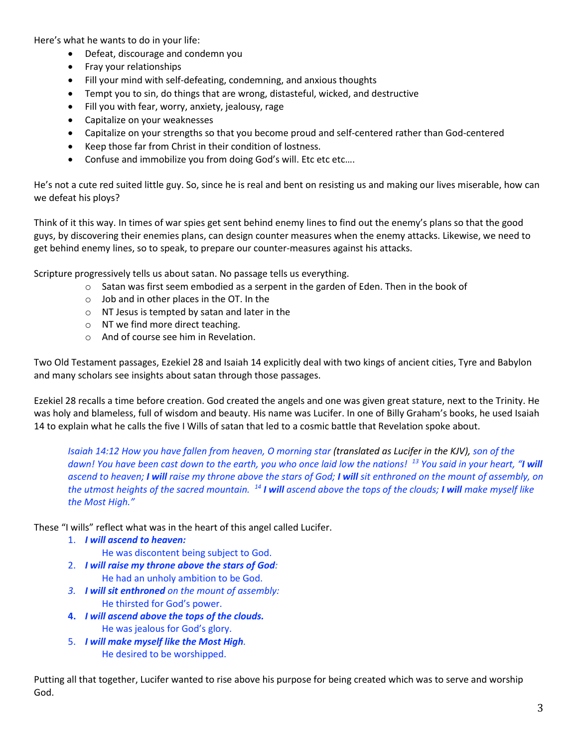Here's what he wants to do in your life:

- Defeat, discourage and condemn you
- Fray your relationships
- Fill your mind with self-defeating, condemning, and anxious thoughts
- Tempt you to sin, do things that are wrong, distasteful, wicked, and destructive
- Fill you with fear, worry, anxiety, jealousy, rage
- Capitalize on your weaknesses
- Capitalize on your strengths so that you become proud and self-centered rather than God-centered
- Keep those far from Christ in their condition of lostness.
- Confuse and immobilize you from doing God's will. Etc etc etc....

He's not a cute red suited little guy. So, since he is real and bent on resisting us and making our lives miserable, how can we defeat his ploys?

Think of it this way. In times of war spies get sent behind enemy lines to find out the enemy's plans so that the good guys, by discovering their enemies plans, can design counter measures when the enemy attacks. Likewise, we need to get behind enemy lines, so to speak, to prepare our counter-measures against his attacks.

Scripture progressively tells us about satan. No passage tells us everything.

- $\circ$  Satan was first seem embodied as a serpent in the garden of Eden. Then in the book of
- $\circ$  Job and in other places in the OT. In the
- o NT Jesus is tempted by satan and later in the
- o NT we find more direct teaching.
- o And of course see him in Revelation.

Two Old Testament passages, Ezekiel 28 and Isaiah 14 explicitly deal with two kings of ancient cities, Tyre and Babylon and many scholars see insights about satan through those passages.

Ezekiel 28 recalls a time before creation. God created the angels and one was given great stature, next to the Trinity. He was holy and blameless, full of wisdom and beauty. His name was Lucifer. In one of Billy Graham's books, he used Isaiah 14 to explain what he calls the five I Wills of satan that led to a cosmic battle that Revelation spoke about.

*Isaiah 14:12 How you have fallen from heaven, O morning star (translated as Lucifer in the KJV), son of the dawn! You have been cast down to the earth, you who once laid low the nations! <sup>13</sup> You said in your heart, "I will ascend to heaven; I will raise my throne above the stars of God; I will sit enthroned on the mount of assembly, on the utmost heights of the sacred mountain. <sup>14</sup> I will ascend above the tops of the clouds; I will make myself like the Most High."*

These "I wills" reflect what was in the heart of this angel called Lucifer.

- 1. *I will ascend to heaven:*
	- He was discontent being subject to God.
- 2. *I will raise my throne above the stars of God:* He had an unholy ambition to be God.
- *3. I will sit enthroned on the mount of assembly:*  He thirsted for God's power.
- **4.** *I will ascend above the tops of the clouds.* He was jealous for God's glory.
- 5. *I will make myself like the Most High.* He desired to be worshipped.

Putting all that together, Lucifer wanted to rise above his purpose for being created which was to serve and worship God.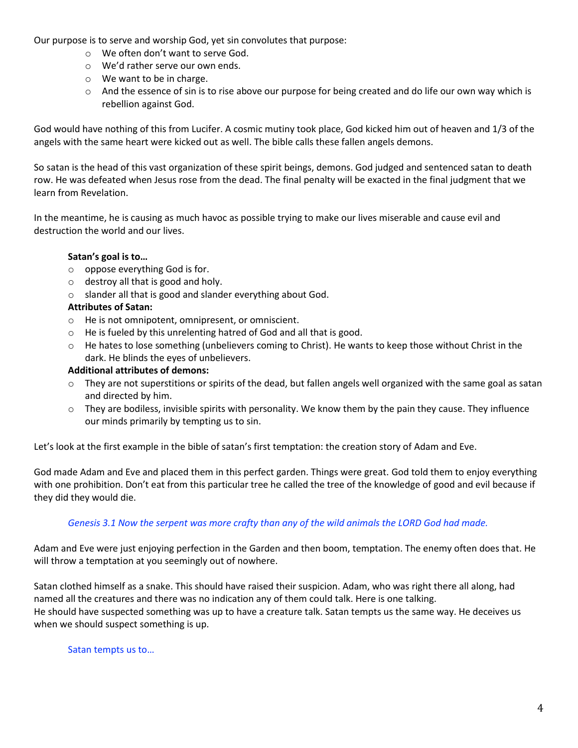Our purpose is to serve and worship God, yet sin convolutes that purpose:

- o We often don't want to serve God.
- o We'd rather serve our own ends.
- o We want to be in charge.
- $\circ$  And the essence of sin is to rise above our purpose for being created and do life our own way which is rebellion against God.

God would have nothing of this from Lucifer. A cosmic mutiny took place, God kicked him out of heaven and 1/3 of the angels with the same heart were kicked out as well. The bible calls these fallen angels demons.

So satan is the head of this vast organization of these spirit beings, demons. God judged and sentenced satan to death row. He was defeated when Jesus rose from the dead. The final penalty will be exacted in the final judgment that we learn from Revelation.

In the meantime, he is causing as much havoc as possible trying to make our lives miserable and cause evil and destruction the world and our lives.

# **Satan's goal is to…**

- o oppose everything God is for.
- o destroy all that is good and holy.
- o slander all that is good and slander everything about God.

# **Attributes of Satan:**

- o He is not omnipotent, omnipresent, or omniscient.
- o He is fueled by this unrelenting hatred of God and all that is good.
- $\circ$  He hates to lose something (unbelievers coming to Christ). He wants to keep those without Christ in the dark. He blinds the eyes of unbelievers.

## **Additional attributes of demons:**

- $\circ$  They are not superstitions or spirits of the dead, but fallen angels well organized with the same goal as satan and directed by him.
- o They are bodiless, invisible spirits with personality. We know them by the pain they cause. They influence our minds primarily by tempting us to sin.

Let's look at the first example in the bible of satan's first temptation: the creation story of Adam and Eve.

God made Adam and Eve and placed them in this perfect garden. Things were great. God told them to enjoy everything with one prohibition. Don't eat from this particular tree he called the tree of the knowledge of good and evil because if they did they would die.

# *Genesis 3.1 Now the serpent was more crafty than any of the wild animals the LORD God had made.*

Adam and Eve were just enjoying perfection in the Garden and then boom, temptation. The enemy often does that. He will throw a temptation at you seemingly out of nowhere.

Satan clothed himself as a snake. This should have raised their suspicion. Adam, who was right there all along, had named all the creatures and there was no indication any of them could talk. Here is one talking. He should have suspected something was up to have a creature talk. Satan tempts us the same way. He deceives us when we should suspect something is up.

## Satan tempts us to…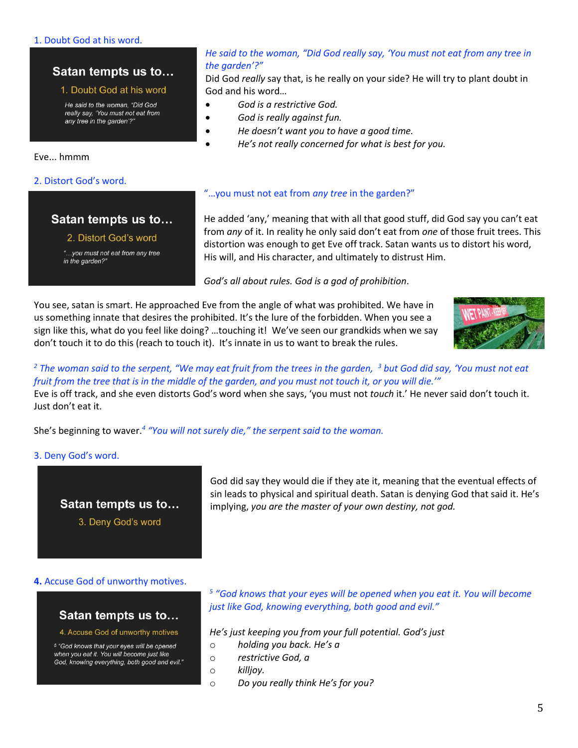### 1. Doubt God at his word.

# Satan tempts us to...

### 1. Doubt God at his word

He said to the woman, "Did God really say, 'You must not eat from any tree in the garden'?"

Eve... hmmm

### 2. Distort God's word.

## Satan tempts us to...

### 2. Distort God's word

"...you must not eat from any tree in the garden?"

### *He said to the woman, "Did God really say, 'You must not eat from any tree in the garden'?"*

Did God *really* say that, is he really on your side? He will try to plant doubt in God and his word…

- *God is a restrictive God.*
- *God is really against fun.*
- *He doesn't want you to have a good time.*
- *He's not really concerned for what is best for you.*

### "…you must not eat from *any tree* in the garden?"

He added 'any,' meaning that with all that good stuff, did God say you can't eat from *any* of it. In reality he only said don't eat from *one* of those fruit trees. This distortion was enough to get Eve off track. Satan wants us to distort his word, His will, and His character, and ultimately to distrust Him.

*God's all about rules. God is a god of prohibition*.

You see, satan is smart. He approached Eve from the angle of what was prohibited. We have in us something innate that desires the prohibited. It's the lure of the forbidden. When you see a sign like this, what do you feel like doing? …touching it! We've seen our grandkids when we say don't touch it to do this (reach to touch it). It's innate in us to want to break the rules.



## *<sup>2</sup> The woman said to the serpent, "We may eat fruit from the trees in the garden, <sup>3</sup> but God did say, 'You must not eat fruit from the tree that is in the middle of the garden, and you must not touch it, or you will die.'"*

Eve is off track, and she even distorts God's word when she says, 'you must not *touch* it.' He never said don't touch it. Just don't eat it.

She's beginning to waver.*<sup>4</sup> "You will not surely die," the serpent said to the woman.* 

### 3. Deny God's word.

# Satan tempts us to... 3. Deny God's word

God did say they would die if they ate it, meaning that the eventual effects of sin leads to physical and spiritual death. Satan is denying God that said it. He's implying, *you are the master of your own destiny, not god.*

### **4.** Accuse God of unworthy motives.

## Satan tempts us to...

#### 4. Accuse God of unworthy motives

<sup>5</sup> "God knows that your eyes will be opened when you eat it. You will become just like God, knowing everything, both good and evil."

<sup>5</sup> "God knows that your eyes will be opened when you eat it. You will become *just like God, knowing everything, both good and evil."* 

*He's just keeping you from your full potential. God's just* 

- o *holding you back. He's a*
- o *restrictive God, a*
- o *killjoy.*
- o *Do you really think He's for you?*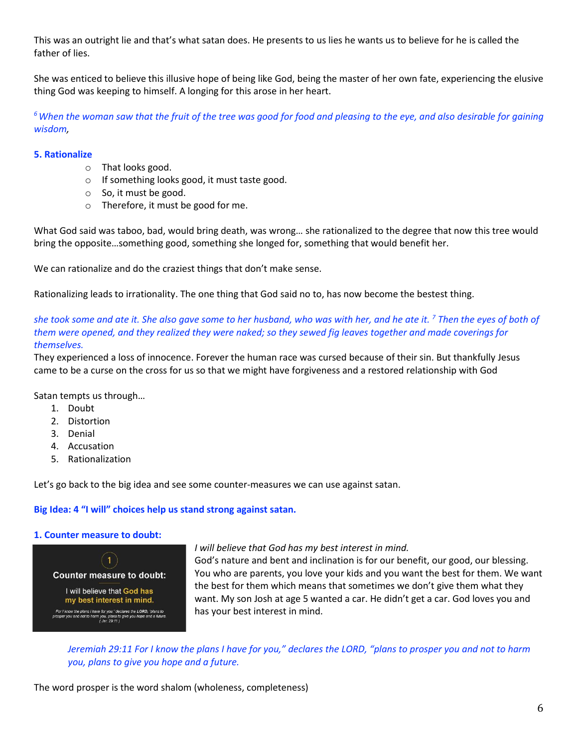This was an outright lie and that's what satan does. He presents to us lies he wants us to believe for he is called the father of lies.

She was enticed to believe this illusive hope of being like God, being the master of her own fate, experiencing the elusive thing God was keeping to himself. A longing for this arose in her heart.

*<sup>6</sup>When the woman saw that the fruit of the tree was good for food and pleasing to the eye, and also desirable for gaining wisdom,* 

## **5. Rationalize**

- o That looks good.
- o If something looks good, it must taste good.
- o So, it must be good.
- o Therefore, it must be good for me.

What God said was taboo, bad, would bring death, was wrong… she rationalized to the degree that now this tree would bring the opposite…something good, something she longed for, something that would benefit her.

We can rationalize and do the craziest things that don't make sense.

Rationalizing leads to irrationality. The one thing that God said no to, has now become the bestest thing.

*she took some and ate it. She also gave some to her husband, who was with her, and he ate it. <sup>7</sup> Then the eyes of both of them were opened, and they realized they were naked; so they sewed fig leaves together and made coverings for themselves.* 

They experienced a loss of innocence. Forever the human race was cursed because of their sin. But thankfully Jesus came to be a curse on the cross for us so that we might have forgiveness and a restored relationship with God

Satan tempts us through…

- 1. Doubt
- 2. Distortion
- 3. Denial
- 4. Accusation
- 5. Rationalization

Let's go back to the big idea and see some counter-measures we can use against satan.

## **Big Idea: 4 "I will" choices help us stand strong against satan.**

## **1. Counter measure to doubt:**



## *I will believe that God has my best interest in mind.*

God's nature and bent and inclination is for our benefit, our good, our blessing. You who are parents, you love your kids and you want the best for them. We want the best for them which means that sometimes we don't give them what they want. My son Josh at age 5 wanted a car. He didn't get a car. God loves you and has your best interest in mind.

*Jeremiah 29:11 For I know the plans I have for you," declares the LORD, "plans to prosper you and not to harm you, plans to give you hope and a future.*

The word prosper is the word shalom (wholeness, completeness)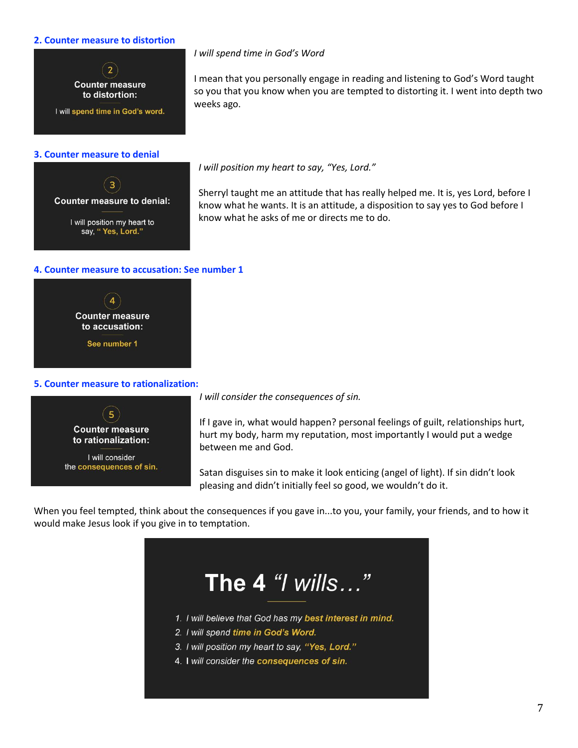### **2. Counter measure to distortion**



### *I will spend time in God's Word*

I mean that you personally engage in reading and listening to God's Word taught so you that you know when you are tempted to distorting it. I went into depth two weeks ago.

*I will position my heart to say, "Yes, Lord."*

Sherryl taught me an attitude that has really helped me. It is, yes Lord, before I know what he wants. It is an attitude, a disposition to say yes to God before I know what he asks of me or directs me to do.

### **4. Counter measure to accusation: See number 1**



### **5. Counter measure to rationalization:**



*I will consider the consequences of sin.*

If I gave in, what would happen? personal feelings of guilt, relationships hurt, hurt my body, harm my reputation, most importantly I would put a wedge between me and God.

Satan disguises sin to make it look enticing (angel of light). If sin didn't look pleasing and didn't initially feel so good, we wouldn't do it.

When you feel tempted, think about the consequences if you gave in...to you, your family, your friends, and to how it would make Jesus look if you give in to temptation.



- 1. I will believe that God has my best interest in mind.
- 2. I will spend time in God's Word.
- 3. I will position my heart to say, "Yes, Lord."
- 4. I will consider the consequences of sin.